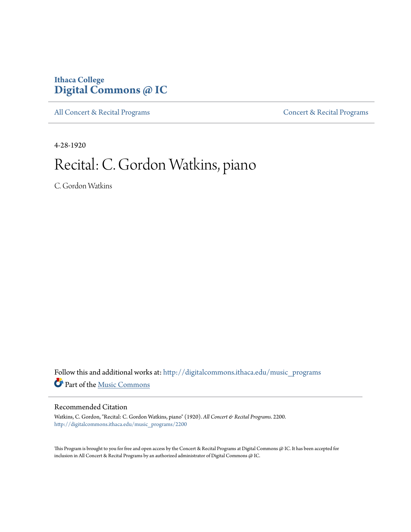# **Ithaca College [Digital Commons @ IC](http://digitalcommons.ithaca.edu?utm_source=digitalcommons.ithaca.edu%2Fmusic_programs%2F2200&utm_medium=PDF&utm_campaign=PDFCoverPages)**

[All Concert & Recital Programs](http://digitalcommons.ithaca.edu/music_programs?utm_source=digitalcommons.ithaca.edu%2Fmusic_programs%2F2200&utm_medium=PDF&utm_campaign=PDFCoverPages) **[Concert & Recital Programs](http://digitalcommons.ithaca.edu/som_programs?utm_source=digitalcommons.ithaca.edu%2Fmusic_programs%2F2200&utm_medium=PDF&utm_campaign=PDFCoverPages)** 

4-28-1920

# Recital: C. Gordon Watkins, piano

C. Gordon Watkins

Follow this and additional works at: [http://digitalcommons.ithaca.edu/music\\_programs](http://digitalcommons.ithaca.edu/music_programs?utm_source=digitalcommons.ithaca.edu%2Fmusic_programs%2F2200&utm_medium=PDF&utm_campaign=PDFCoverPages) Part of the [Music Commons](https://network.bepress.com/hgg/discipline/518?utm_source=digitalcommons.ithaca.edu%2Fmusic_programs%2F2200&utm_medium=PDF&utm_campaign=PDFCoverPages)

### Recommended Citation

Watkins, C. Gordon, "Recital: C. Gordon Watkins, piano" (1920). *All Concert & Recital Programs*. 2200. [http://digitalcommons.ithaca.edu/music\\_programs/2200](http://digitalcommons.ithaca.edu/music_programs/2200?utm_source=digitalcommons.ithaca.edu%2Fmusic_programs%2F2200&utm_medium=PDF&utm_campaign=PDFCoverPages)

This Program is brought to you for free and open access by the Concert & Recital Programs at Digital Commons @ IC. It has been accepted for inclusion in All Concert & Recital Programs by an authorized administrator of Digital Commons @ IC.